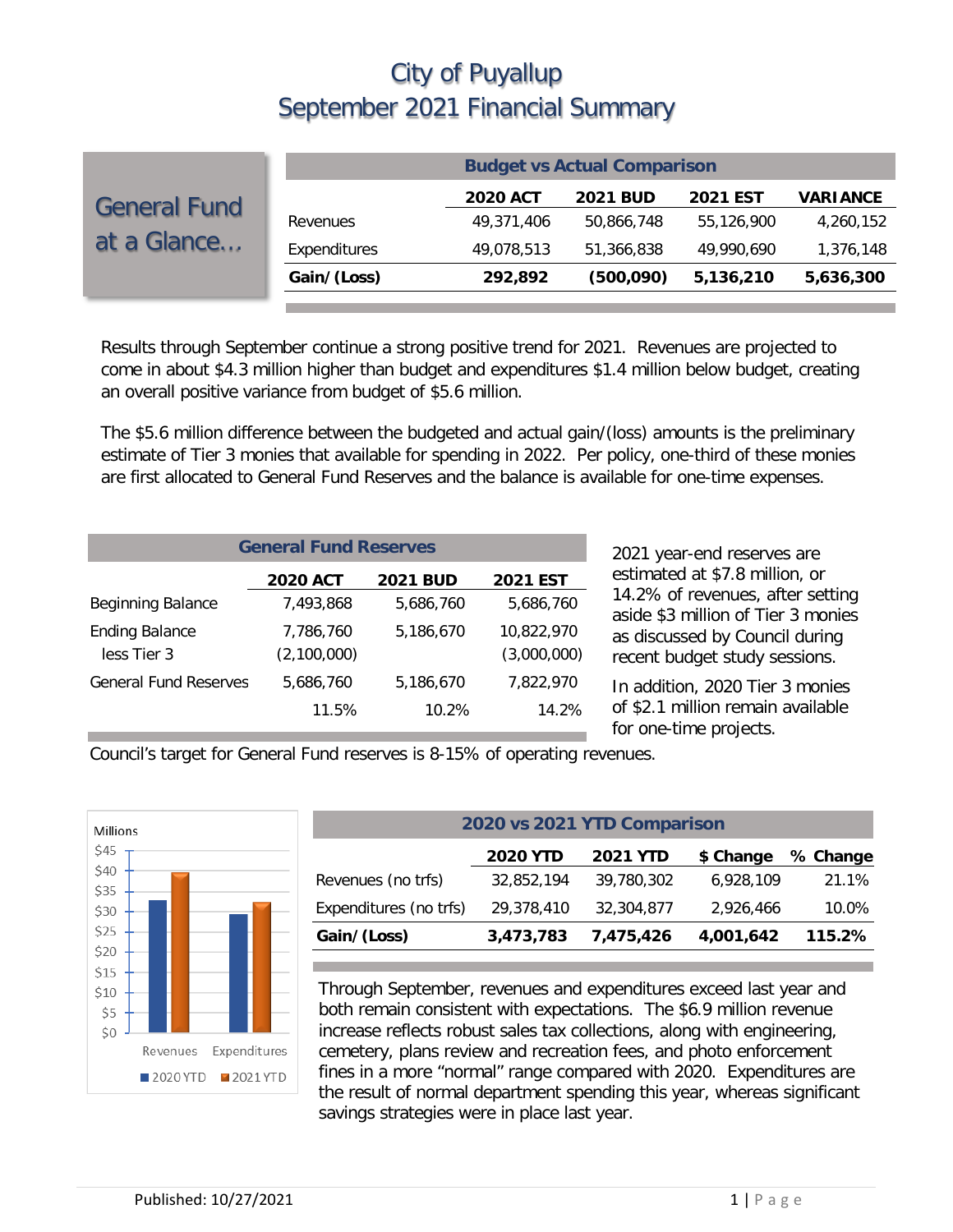|                                    | <b>Budget vs Actual Comparison</b> |                 |                 |                 |                 |  |
|------------------------------------|------------------------------------|-----------------|-----------------|-----------------|-----------------|--|
| <b>General Fund</b><br>at a Glance |                                    | <b>2020 ACT</b> | <b>2021 BUD</b> | <b>2021 EST</b> | <b>VARIANCE</b> |  |
|                                    | Revenues                           | 49,371,406      | 50,866,748      | 55.126.900      | 4,260,152       |  |
|                                    | Expenditures                       | 49,078,513      | 51,366,838      | 49.990.690      | 1,376,148       |  |
|                                    | Gain/(Loss)                        | 292,892         | (500,090)       | 5,136,210       | 5,636,300       |  |
|                                    |                                    |                 |                 |                 |                 |  |

Results through September continue a strong positive trend for 2021. Revenues are projected to come in about \$4.3 million higher than budget and expenditures \$1.4 million below budget, creating an overall positive variance from budget of \$5.6 million.

The \$5.6 million difference between the budgeted and actual gain/(loss) amounts is the preliminary estimate of Tier 3 monies that available for spending in 2022. Per policy, one-third of these monies are first allocated to General Fund Reserves and the balance is available for one-time expenses.

| <b>General Fund Reserves</b>                          |                          |           |                           |  |  |  |  |  |
|-------------------------------------------------------|--------------------------|-----------|---------------------------|--|--|--|--|--|
| <b>2020 ACT</b><br><b>2021 BUD</b><br><b>2021 EST</b> |                          |           |                           |  |  |  |  |  |
| <b>Beginning Balance</b>                              | 7.493.868                | 5,686,760 | 5,686,760                 |  |  |  |  |  |
| <b>Ending Balance</b><br>less Tier 3                  | 7,786,760<br>(2,100,000) | 5,186,670 | 10,822,970<br>(3,000,000) |  |  |  |  |  |
| <b>General Fund Reserves</b>                          | 5,686,760                | 5,186,670 | 7,822,970                 |  |  |  |  |  |
|                                                       | 11.5%                    | 10.2%     | 14.2%                     |  |  |  |  |  |

2021 year-end reserves are estimated at \$7.8 million, or 14.2% of revenues, after setting aside \$3 million of Tier 3 monies as discussed by Council during recent budget study sessions.

In addition, 2020 Tier 3 monies of \$2.1 million remain available for one-time projects.

Council's target for General Fund reserves is 8-15% of operating revenues.



| 2020 vs 2021 YTD Comparison                                 |            |            |           |        |  |  |  |  |
|-------------------------------------------------------------|------------|------------|-----------|--------|--|--|--|--|
| <b>2020 YTD</b><br><b>2021 YTD</b><br>\$ Change<br>% Change |            |            |           |        |  |  |  |  |
| Revenues (no trfs)                                          | 32,852,194 | 39,780,302 | 6,928,109 | 21.1%  |  |  |  |  |
| Expenditures (no trfs)                                      | 29,378,410 | 32,304,877 | 2,926,466 | 10.0%  |  |  |  |  |
| Gain/(Loss)                                                 | 3,473,783  | 7,475,426  | 4,001,642 | 115.2% |  |  |  |  |

Through September, revenues and expenditures exceed last year and both remain consistent with expectations. The \$6.9 million revenue increase reflects robust sales tax collections, along with engineering, cemetery, plans review and recreation fees, and photo enforcement fines in a more "normal" range compared with 2020. Expenditures are the result of normal department spending this year, whereas significant savings strategies were in place last year.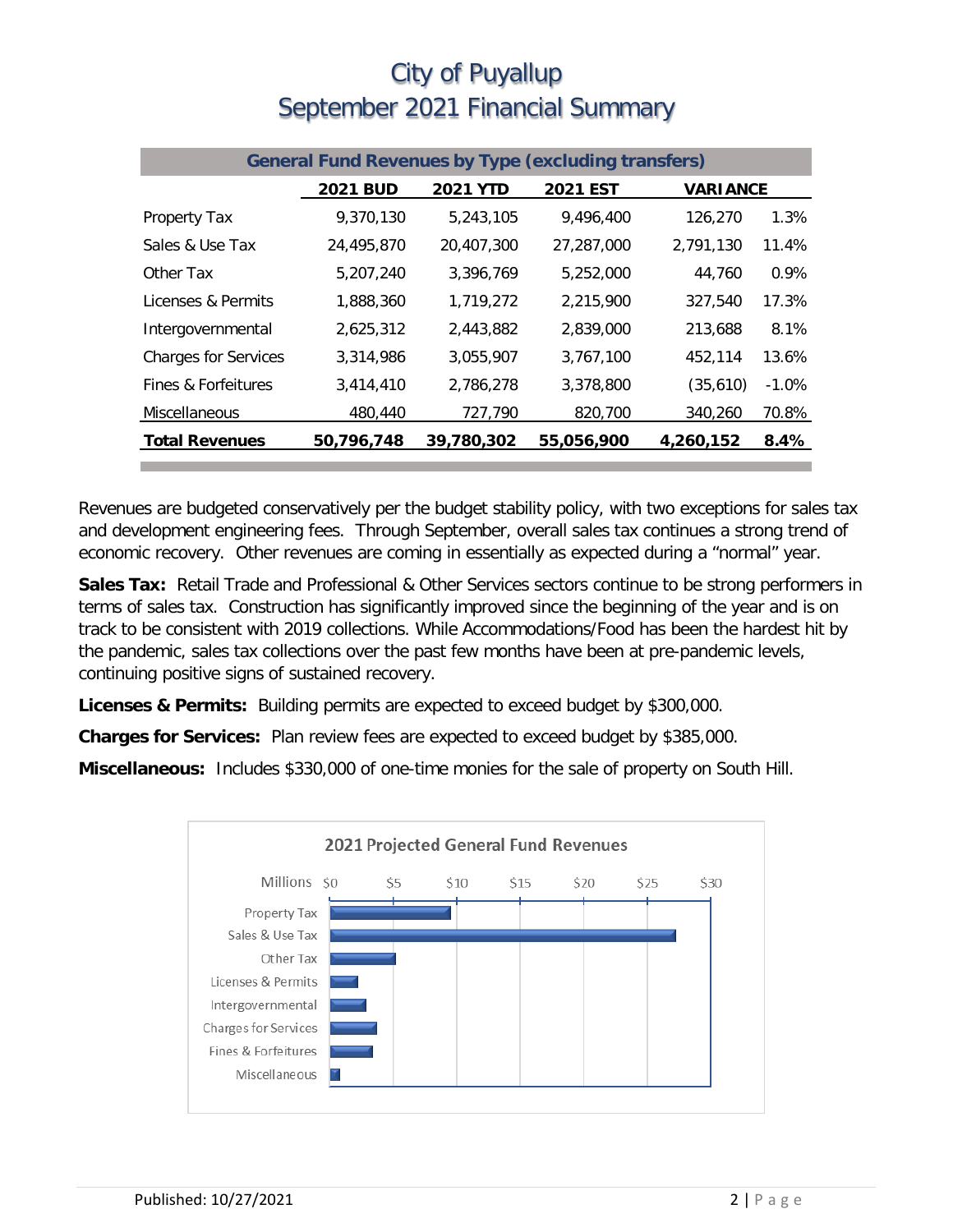| <b>General Fund Revenues by Type (excluding transfers)</b> |                 |                 |                 |                 |         |  |
|------------------------------------------------------------|-----------------|-----------------|-----------------|-----------------|---------|--|
|                                                            | <b>2021 BUD</b> | <b>2021 YTD</b> | <b>2021 EST</b> | <b>VARIANCE</b> |         |  |
| Property Tax                                               | 9,370,130       | 5,243,105       | 9,496,400       | 126,270         | 1.3%    |  |
| Sales & Use Tax                                            | 24,495,870      | 20,407,300      | 27,287,000      | 2,791,130       | 11.4%   |  |
| Other Tax                                                  | 5,207,240       | 3,396,769       | 5,252,000       | 44,760          | $0.9\%$ |  |
| Licenses & Permits                                         | 1,888,360       | 1,719,272       | 2,215,900       | 327,540         | 17.3%   |  |
| Intergovernmental                                          | 2,625,312       | 2,443,882       | 2,839,000       | 213,688         | 8.1%    |  |
| <b>Charges for Services</b>                                | 3,314,986       | 3,055,907       | 3,767,100       | 452,114         | 13.6%   |  |
| Fines & Forfeitures                                        | 3,414,410       | 2,786,278       | 3,378,800       | (35,610)        | $-1.0%$ |  |
| Miscellaneous                                              | 480,440         | 727,790         | 820,700         | 340,260         | 70.8%   |  |
| <b>Total Revenues</b>                                      | 50,796,748      | 39,780,302      | 55,056,900      | 4,260,152       | 8.4%    |  |

Revenues are budgeted conservatively per the budget stability policy, with two exceptions for sales tax and development engineering fees. Through September, overall sales tax continues a strong trend of economic recovery. Other revenues are coming in essentially as expected during a "normal" year.

**Sales Tax:** Retail Trade and Professional & Other Services sectors continue to be strong performers in terms of sales tax. Construction has significantly improved since the beginning of the year and is on track to be consistent with 2019 collections. While Accommodations/Food has been the hardest hit by the pandemic, sales tax collections over the past few months have been at pre-pandemic levels, continuing positive signs of sustained recovery.

**Licenses & Permits:** Building permits are expected to exceed budget by \$300,000.

**Charges for Services:** Plan review fees are expected to exceed budget by \$385,000.

**Miscellaneous:** Includes \$330,000 of one-time monies for the sale of property on South Hill.

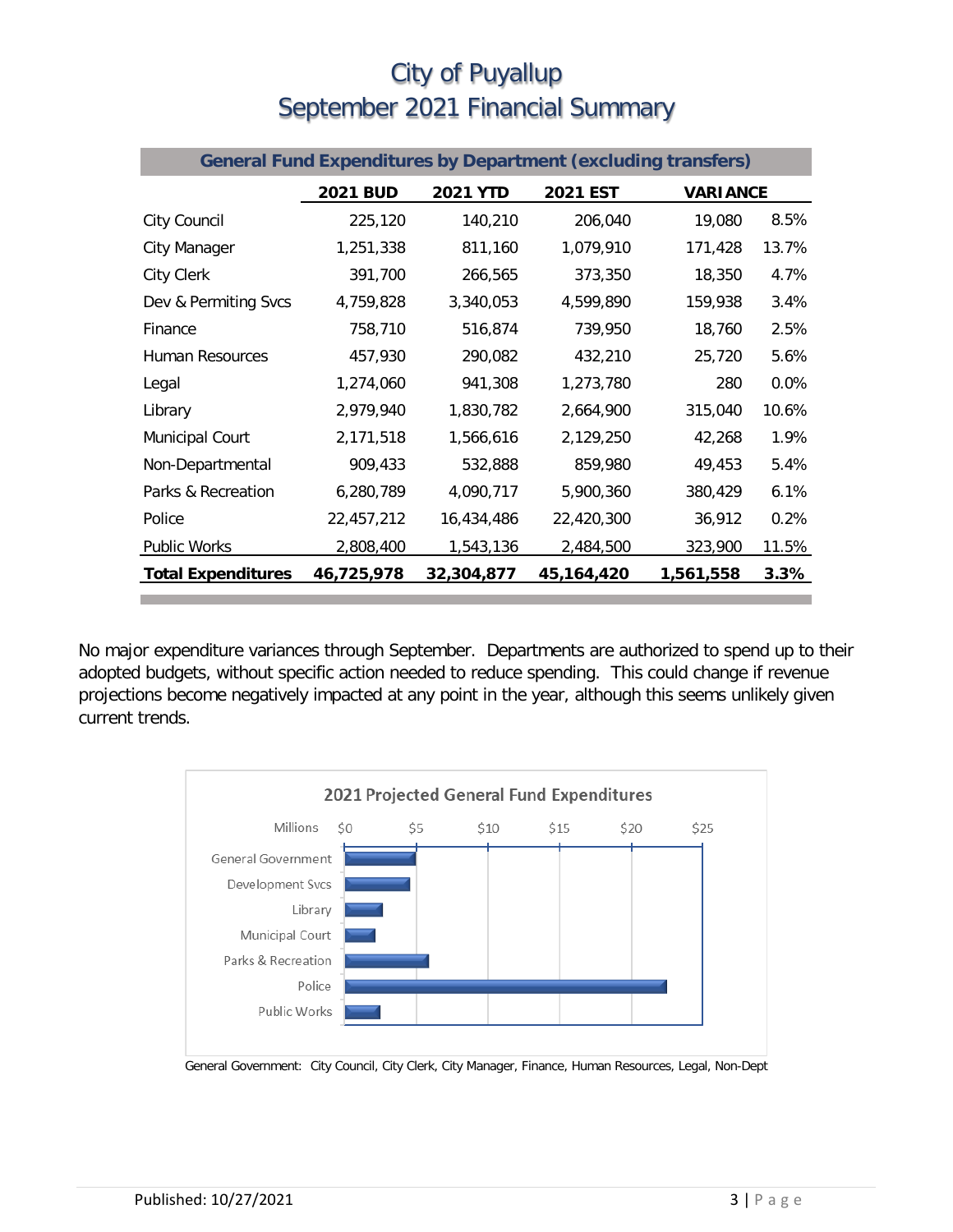| <b>General Fund Expenditures by Department (excluding transfers)</b> |                 |                 |                 |                 |         |  |
|----------------------------------------------------------------------|-----------------|-----------------|-----------------|-----------------|---------|--|
|                                                                      | <b>2021 BUD</b> | <b>2021 YTD</b> | <b>2021 EST</b> | <b>VARIANCE</b> |         |  |
| City Council                                                         | 225,120         | 140,210         | 206,040         | 19,080          | 8.5%    |  |
| City Manager                                                         | 1,251,338       | 811,160         | 1,079,910       | 171,428         | 13.7%   |  |
| City Clerk                                                           | 391,700         | 266,565         | 373,350         | 18,350          | 4.7%    |  |
| Dev & Permiting Svcs                                                 | 4,759,828       | 3,340,053       | 4,599,890       | 159,938         | 3.4%    |  |
| Finance                                                              | 758,710         | 516,874         | 739,950         | 18,760          | 2.5%    |  |
| <b>Human Resources</b>                                               | 457,930         | 290,082         | 432,210         | 25,720          | 5.6%    |  |
| Legal                                                                | 1,274,060       | 941,308         | 1,273,780       | 280             | $0.0\%$ |  |
| Library                                                              | 2,979,940       | 1,830,782       | 2,664,900       | 315,040         | 10.6%   |  |
| Municipal Court                                                      | 2,171,518       | 1,566,616       | 2,129,250       | 42,268          | 1.9%    |  |
| Non-Departmental                                                     | 909,433         | 532,888         | 859,980         | 49,453          | 5.4%    |  |
| Parks & Recreation                                                   | 6,280,789       | 4,090,717       | 5,900,360       | 380,429         | 6.1%    |  |
| Police                                                               | 22,457,212      | 16,434,486      | 22,420,300      | 36,912          | 0.2%    |  |
| <b>Public Works</b>                                                  | 2,808,400       | 1,543,136       | 2,484,500       | 323,900         | 11.5%   |  |
| <b>Total Expenditures</b>                                            | 46,725,978      | 32,304,877      | 45,164,420      | 1,561,558       | 3.3%    |  |

No major expenditure variances through September. Departments are authorized to spend up to their adopted budgets, without specific action needed to reduce spending. This could change if revenue projections become negatively impacted at any point in the year, although this seems unlikely given current trends.



General Government: City Council, City Clerk, City Manager, Finance, Human Resources, Legal, Non-Dept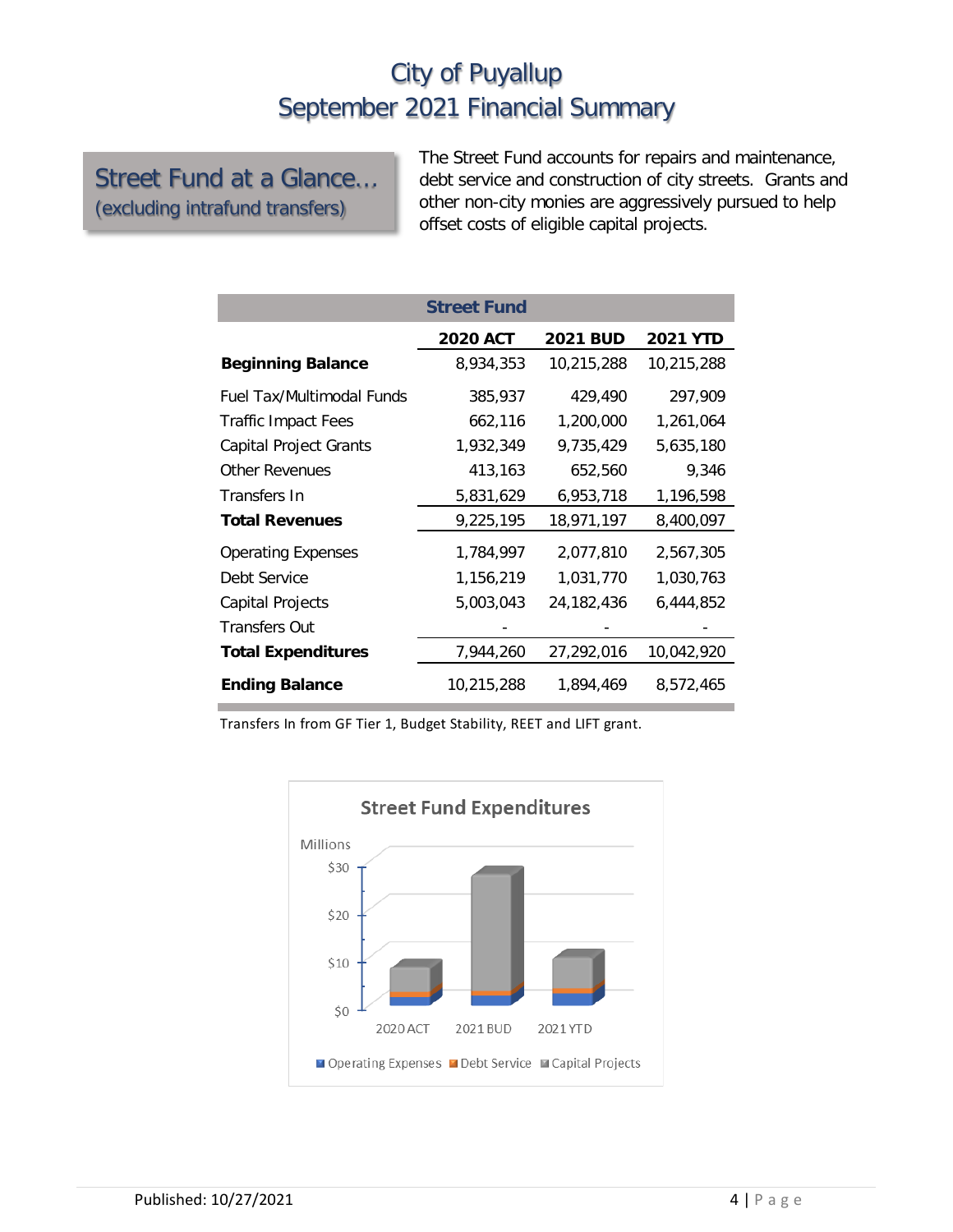Street Fund at a Glance… (excluding intrafund transfers)

The Street Fund accounts for repairs and maintenance, debt service and construction of city streets. Grants and other non-city monies are aggressively pursued to help offset costs of eligible capital projects.

|                                  | <b>Street Fund</b> |                 |                 |
|----------------------------------|--------------------|-----------------|-----------------|
|                                  | <b>2020 ACT</b>    | <b>2021 BUD</b> | <b>2021 YTD</b> |
| <b>Beginning Balance</b>         | 8,934,353          | 10,215,288      | 10,215,288      |
| <b>Fuel Tax/Multimodal Funds</b> | 385,937            | 429,490         | 297,909         |
| <b>Traffic Impact Fees</b>       | 662,116            | 1,200,000       | 1,261,064       |
| <b>Capital Project Grants</b>    | 1,932,349          | 9,735,429       | 5,635,180       |
| <b>Other Revenues</b>            | 413,163            | 652,560         | 9,346           |
| Transfers In                     | 5,831,629          | 6,953,718       | 1,196,598       |
| <b>Total Revenues</b>            | 9,225,195          | 18,971,197      | 8,400,097       |
| <b>Operating Expenses</b>        | 1,784,997          | 2,077,810       | 2,567,305       |
| Debt Service                     | 1,156,219          | 1,031,770       | 1,030,763       |
| Capital Projects                 | 5,003,043          | 24,182,436      | 6,444,852       |
| <b>Transfers Out</b>             |                    |                 |                 |
| <b>Total Expenditures</b>        | 7,944,260          | 27,292,016      | 10,042,920      |
| <b>Ending Balance</b>            | 10,215,288         | 1,894,469       | 8,572,465       |

Transfers In from GF Tier 1, Budget Stability, REET and LIFT grant.

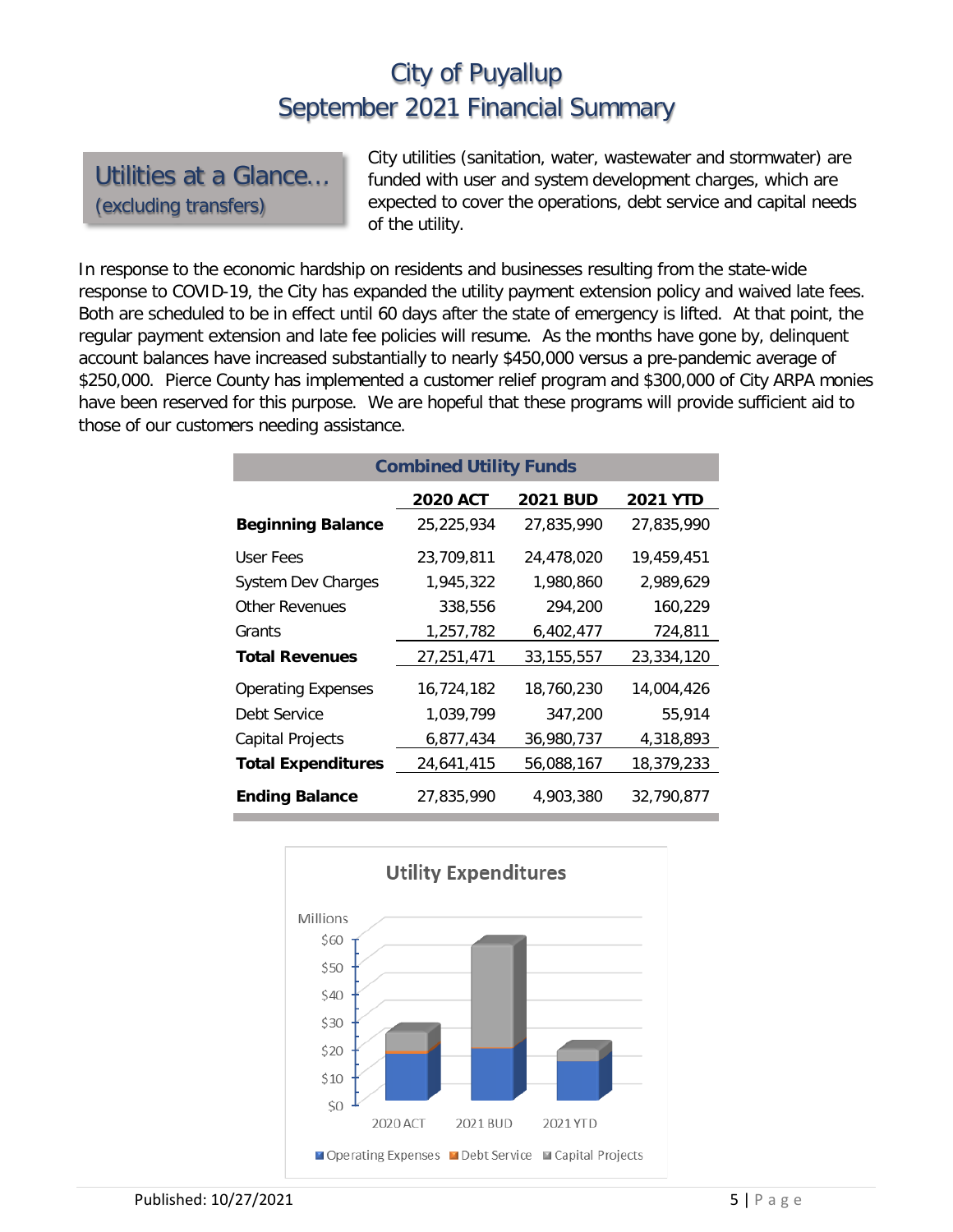Utilities at a Glance… (excluding transfers)

City utilities (sanitation, water, wastewater and stormwater) are funded with user and system development charges, which are expected to cover the operations, debt service and capital needs of the utility.

In response to the economic hardship on residents and businesses resulting from the state-wide response to COVID-19, the City has expanded the utility payment extension policy and waived late fees. Both are scheduled to be in effect until 60 days after the state of emergency is lifted. At that point, the regular payment extension and late fee policies will resume. As the months have gone by, delinquent account balances have increased substantially to nearly \$450,000 versus a pre-pandemic average of \$250,000. Pierce County has implemented a customer relief program and \$300,000 of City ARPA monies have been reserved for this purpose. We are hopeful that these programs will provide sufficient aid to those of our customers needing assistance.

| <b>Combined Utility Funds</b> |                 |                 |                 |  |  |  |  |
|-------------------------------|-----------------|-----------------|-----------------|--|--|--|--|
|                               | <b>2020 ACT</b> | <b>2021 BUD</b> | <b>2021 YTD</b> |  |  |  |  |
| <b>Beginning Balance</b>      | 25,225,934      | 27,835,990      | 27,835,990      |  |  |  |  |
| User Fees                     | 23,709,811      | 24,478,020      | 19,459,451      |  |  |  |  |
| <b>System Dev Charges</b>     | 1,945,322       | 1.980.860       | 2.989.629       |  |  |  |  |
| <b>Other Revenues</b>         | 338,556         | 294,200         | 160,229         |  |  |  |  |
| Grants                        | 1,257,782       | 6,402,477       | 724,811         |  |  |  |  |
| <b>Total Revenues</b>         | 27,251,471      | 33, 155, 557    | 23,334,120      |  |  |  |  |
| <b>Operating Expenses</b>     | 16,724,182      | 18,760,230      | 14,004,426      |  |  |  |  |
| Debt Service                  | 1,039,799       | 347,200         | 55,914          |  |  |  |  |
| Capital Projects              | 6,877,434       | 36,980,737      | 4,318,893       |  |  |  |  |
| <b>Total Expenditures</b>     | 24,641,415      | 56,088,167      | 18,379,233      |  |  |  |  |
| <b>Ending Balance</b>         | 27.835.990      | 4.903.380       | 32,790,877      |  |  |  |  |

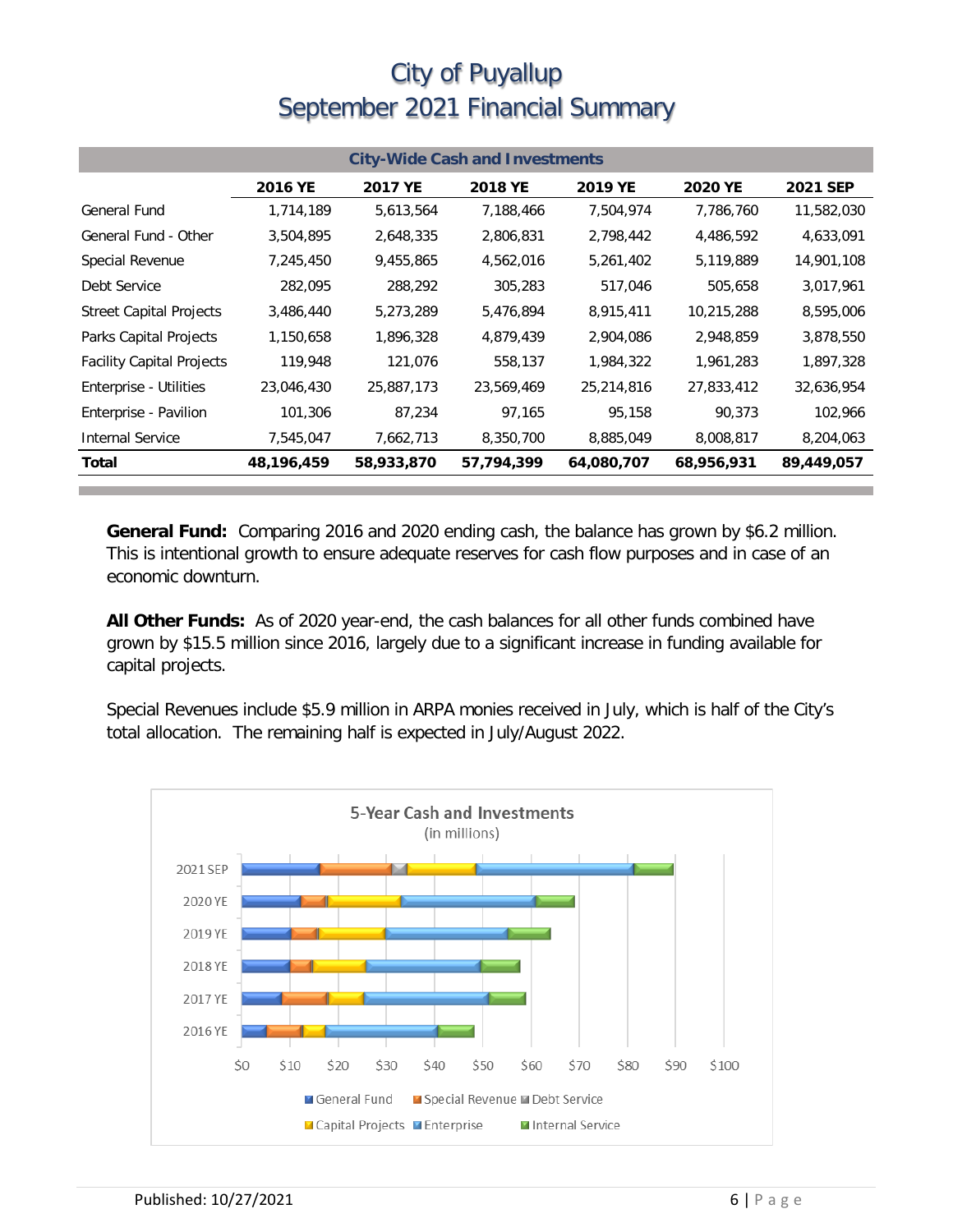| <b>City-Wide Cash and Investments</b> |              |            |            |            |            |                 |  |
|---------------------------------------|--------------|------------|------------|------------|------------|-----------------|--|
|                                       | 2016 YE      | 2017 YE    | 2018 YE    | 2019 YE    | 2020 YE    | <b>2021 SEP</b> |  |
| <b>General Fund</b>                   | 1,714,189    | 5,613,564  | 7,188,466  | 7,504,974  | 7,786,760  | 11,582,030      |  |
| General Fund - Other                  | 3,504,895    | 2,648,335  | 2,806,831  | 2,798,442  | 4,486,592  | 4,633,091       |  |
| Special Revenue                       | 7,245,450    | 9,455,865  | 4,562,016  | 5,261,402  | 5,119,889  | 14,901,108      |  |
| Debt Service                          | 282,095      | 288,292    | 305,283    | 517,046    | 505,658    | 3,017,961       |  |
| <b>Street Capital Projects</b>        | 3,486,440    | 5,273,289  | 5,476,894  | 8,915,411  | 10,215,288 | 8,595,006       |  |
| Parks Capital Projects                | 1,150,658    | 1,896,328  | 4,879,439  | 2,904,086  | 2,948,859  | 3,878,550       |  |
| <b>Facility Capital Projects</b>      | 119,948      | 121,076    | 558,137    | 1,984,322  | 1,961,283  | 1,897,328       |  |
| Enterprise - Utilities                | 23,046,430   | 25,887,173 | 23,569,469 | 25,214,816 | 27,833,412 | 32,636,954      |  |
| Enterprise - Pavilion                 | 101,306      | 87,234     | 97,165     | 95,158     | 90,373     | 102,966         |  |
| Internal Service                      | 7,545,047    | 7,662,713  | 8,350,700  | 8,885,049  | 8,008,817  | 8,204,063       |  |
| Total                                 | 48, 196, 459 | 58,933,870 | 57,794,399 | 64,080,707 | 68,956,931 | 89,449,057      |  |

**General Fund:** Comparing 2016 and 2020 ending cash, the balance has grown by \$6.2 million. This is intentional growth to ensure adequate reserves for cash flow purposes and in case of an economic downturn.

**All Other Funds:** As of 2020 year-end, the cash balances for all other funds combined have grown by \$15.5 million since 2016, largely due to a significant increase in funding available for capital projects.

Special Revenues include \$5.9 million in ARPA monies received in July, which is half of the City's total allocation. The remaining half is expected in July/August 2022.